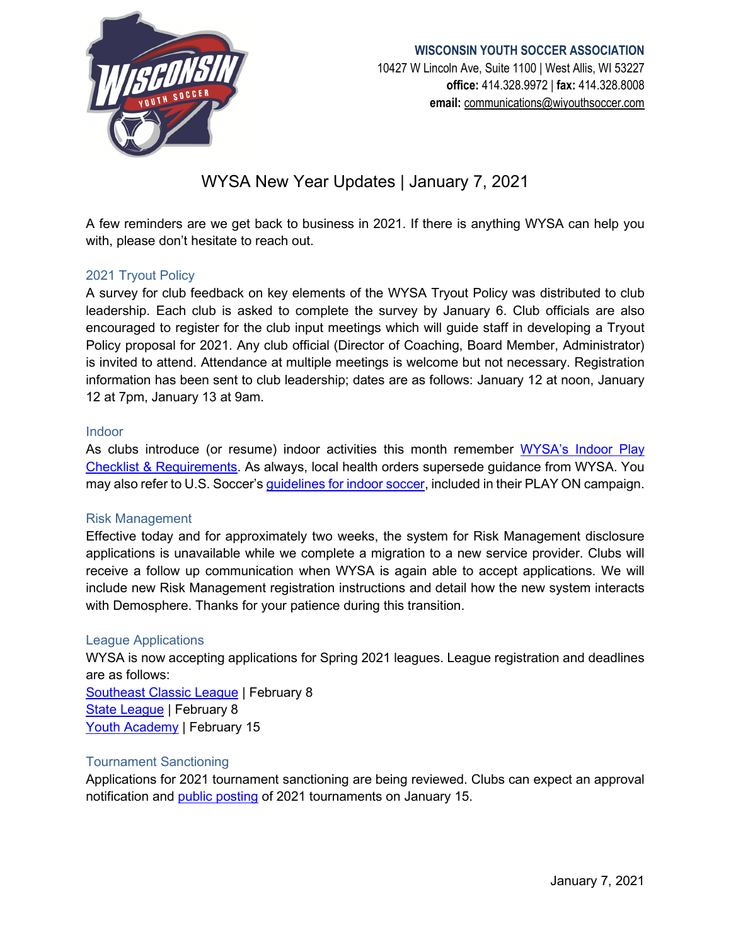

## **WISCONSIN YOUTH SOCCER ASSOCIATION** 10427 W Lincoln Ave, Suite 1100 | West Allis, WI 53227 **office:** 414.328.9972 | **fax:** 414.328.8008 **email:** [communications@wiyouthsoccer.com](mailto:communications@wiyouthsoccer.com)

# WYSA New Year Updates | January 7, 2021

A few reminders are we get back to business in 2021. If there is anything WYSA can help you with, please don't hesitate to reach out.

## 2021 Tryout Policy

A survey for club feedback on key elements of the WYSA Tryout Policy was distributed to club leadership. Each club is asked to complete the survey by January 6. Club officials are also encouraged to register for the club input meetings which will guide staff in developing a Tryout Policy proposal for 2021. Any club official (Director of Coaching, Board Member, Administrator) is invited to attend. Attendance at multiple meetings is welcome but not necessary. Registration information has been sent to club leadership; dates are as follows: January 12 at noon, January 12 at 7pm, January 13 at 9am.

#### Indoor

As clubs introduce (or resume) indoor activities this month remember [WYSA's Indoor Play](https://www.wiyouthsoccer.com/assets/75/6/wysa_indoor_play_checklist.pdf)  [Checklist & Requirements.](https://www.wiyouthsoccer.com/assets/75/6/wysa_indoor_play_checklist.pdf) As always, local health orders supersede guidance from WYSA. You may also refer to U.S. Soccer's [guidelines for indoor soccer,](https://www.ussoccer.com/playon/guides/indoor-considerations) included in their PLAY ON campaign.

#### Risk Management

Effective today and for approximately two weeks, the system for Risk Management disclosure applications is unavailable while we complete a migration to a new service provider. Clubs will receive a follow up communication when WYSA is again able to accept applications. We will include new Risk Management registration instructions and detail how the new system interacts with Demosphere. Thanks for your patience during this transition.

#### League Applications

WYSA is now accepting applications for Spring 2021 leagues. League registration and deadlines are as follows:

[Southeast Classic League](https://wiyouthsoccer.demosphere-secure.com/_element_display/#%2Fscripts%2Frunisa.dll%3FM2%3Agp%3A%3A74555%2BElements%2FDisplay%2BE%2B79824%2BApp%2F%2B%2B%2B100280046) | February 8 [State League](https://wiyouthsoccer.demosphere-secure.com/_element_display/#%2Fscripts%2Frunisa.dll%3FM2%3Agp%3A%3A74555%2BElements%2FDisplay%2BE%2B79824%2BApp%2F%2B%2B%2B100282529) | February 8 [Youth Academy](https://wiyouthsoccer.demosphere-secure.com/_element_display/#%2Fscripts%2Frunisa.dll%3FM2%3Agp%3A%3A74555%2BElements%2FDisplay%2BE%2B79824%2BApp%2F%2B%2B%2B100282863) | February 15

#### Tournament Sanctioning

Applications for 2021 tournament sanctioning are being reviewed. Clubs can expect an approval notification and [public posting](https://htgsports.net/ttc/?state=WI&month=0&year=2021) of 2021 tournaments on January 15.